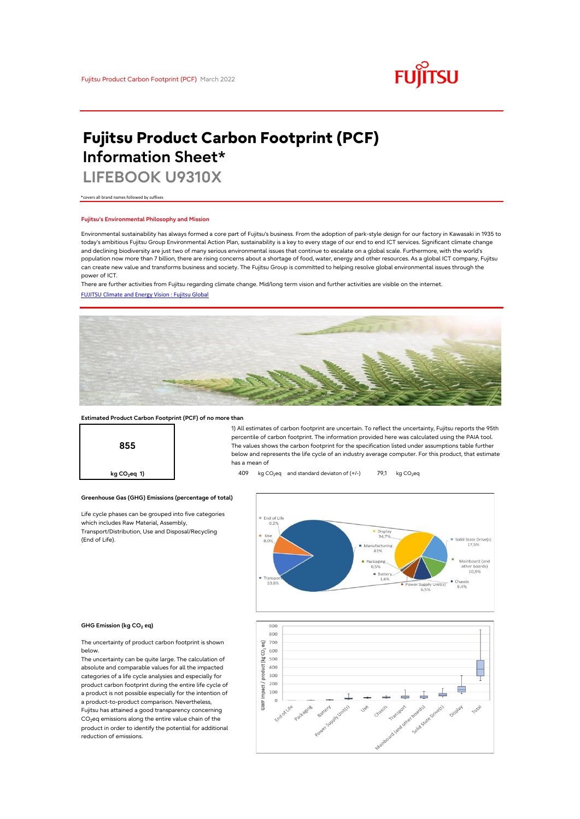

# **Fujitsu Product Carbon Footprint (PCF) Information Sheet\***

**LIFEBOOK U9310X**

\*covers all brand names followed by suffixes

# **Fujitsu's Environmental Philosophy and Mission**

Environmental sustainability has always formed a core part of Fujitsu's business. From the adoption of park-style design for our factory in Kawasaki in 1935 to today's ambitious Fujitsu Group Environmental Action Plan, sustainability is a key to every stage of our end to end ICT services. Significant climate change and declining biodiversity are just two of many serious environmental issues that continue to escalate on a global scale. Furthermore, with the world's population now more than 7 billion, there are rising concerns about a shortage of food, water, energy and other resources. As a global ICT company, Fujitsu can create new value and transforms business and society. The Fujitsu Group is committed to helping resolve global environmental issues through the power of ICT.

[FUJITSU Climate and Energy Vision : Fujitsu Global](https://www.fujitsu.com/global/about/environment/climate-energy-vision/) There are further activities from Fujitsu regarding climate change. Mid/long term vision and further activities are visible on the internet.



# **Estimated Product Carbon Footprint (PCF) of no more than**



1) All estimates of carbon footprint are uncertain. To reflect the uncertainty, Fujitsu reports the 95th percentile of carbon footprint. The information provided here was calculated using the PAIA tool. The values shows the carbon footprint for the specification listed under assumptions table further below and represents the life cycle of an industry average computer. For this product, that estimate has a mean of

**kg CO<sub>2</sub>eq 1) 409** kg CO<sub>2</sub>eq and standard deviaton of (+/-) 79,1 kg CO<sub>2</sub>eq



### **GHG Emission (kg CO2 eq)**

(End of Life).

The uncertainty of product carbon footprint is shown below.

Life cycle phases can be grouped into five categories

**Greenhouse Gas (GHG) Emissions (percentage of total)**

which includes Raw Material, Assembly, Transport/Distribution, Use and Disposal/Recycling

The uncertainty can be quite large. The calculation of absolute and comparable values for all the impacted categories of a life cycle analysies and especially for product carbon footprint during the entire life cycle of a product is not possible especially for the intention of a product-to-product comparison. Nevertheless, Fujitsu has attained a good transparency concerning  $CO<sub>2</sub>$ eq emissions along the entire value chain of the product in order to identify the potential for additional reduction of emissions.